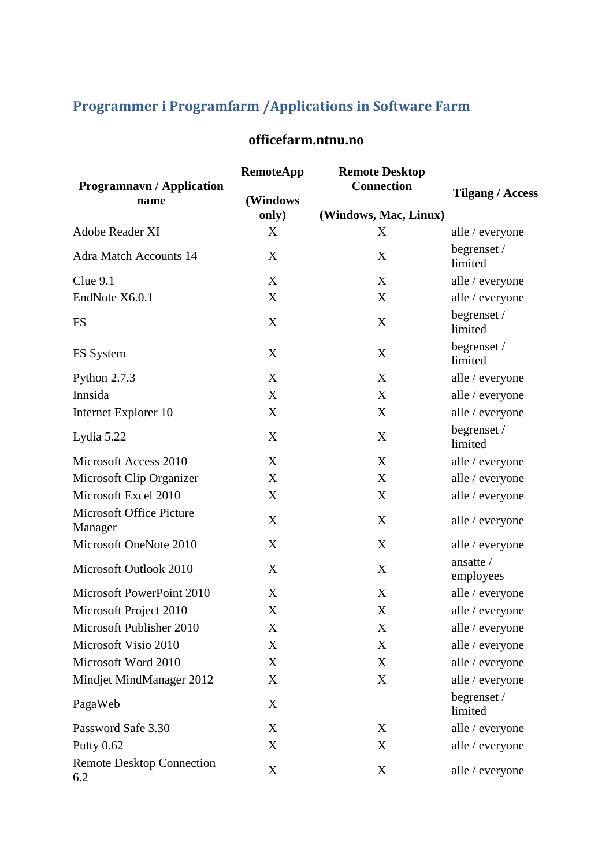## **Programmer i Programfarm /Applications in Software Farm**

| <b>Programnavn / Application</b><br>name | <b>RemoteApp</b><br>(Windows | <b>Remote Desktop</b><br><b>Connection</b> | <b>Tilgang / Access</b> |
|------------------------------------------|------------------------------|--------------------------------------------|-------------------------|
|                                          | only)                        | (Windows, Mac, Linux)                      |                         |
| Adobe Reader XI                          | X                            | X                                          | alle / everyone         |
| <b>Adra Match Accounts 14</b>            | X                            | X                                          | begrenset /<br>limited  |
| Clue 9.1                                 | X                            | X                                          | alle / everyone         |
| EndNote X6.0.1                           | X                            | X                                          | alle / everyone         |
| <b>FS</b>                                | X                            | X                                          | begrenset /<br>limited  |
| FS System                                | X                            | X                                          | begrenset /<br>limited  |
| Python 2.7.3                             | X                            | X                                          | alle / everyone         |
| Innsida                                  | X                            | X                                          | alle / everyone         |
| Internet Explorer 10                     | X                            | X                                          | alle / everyone         |
| Lydia 5.22                               | X                            | X                                          | begrenset/<br>limited   |
| Microsoft Access 2010                    | X                            | X                                          | alle / everyone         |
| Microsoft Clip Organizer                 | X                            | X                                          | alle / everyone         |
| Microsoft Excel 2010                     | X                            | X                                          | alle / everyone         |
| Microsoft Office Picture<br>Manager      | X                            | X                                          | alle / everyone         |
| Microsoft OneNote 2010                   | X                            | X                                          | alle / everyone         |
| Microsoft Outlook 2010                   | X                            | X                                          | ansatte /<br>employees  |
| Microsoft PowerPoint 2010                | X                            | X                                          | alle / everyone         |
| Microsoft Project 2010                   | X                            | X                                          | alle / everyone         |
| Microsoft Publisher 2010                 | X                            | $\mathbf X$                                | alle / everyone         |
| Microsoft Visio 2010                     | X                            | X                                          | alle / everyone         |
| Microsoft Word 2010                      | $\mathbf X$                  | X                                          | alle / everyone         |
| Mindjet MindManager 2012                 | X                            | X                                          | alle / everyone         |
| PagaWeb                                  | X                            |                                            | begrenset /<br>limited  |
| Password Safe 3.30                       | X                            | X                                          | alle / everyone         |
| Putty 0.62                               | X                            | X                                          | alle / everyone         |
| <b>Remote Desktop Connection</b><br>6.2  | X                            | $\mathbf X$                                | alle / everyone         |

## **officefarm.ntnu.no**